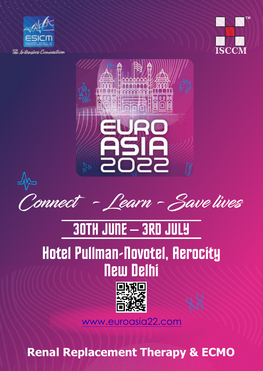





**Connect - Learn - Save lives**

# 30TH JUNE – 3RD JULY

## Hotel Pullman-Novotel, Aerocity New Delhi



www.euroasia22.com

**Renal Replacement Therapy & ECMO**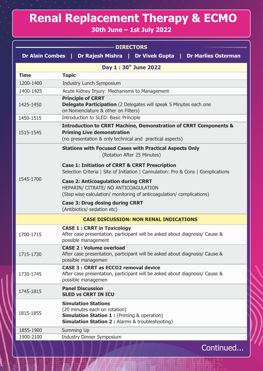### **Renal Replacement Therapy & ECMO**

#### **30th June – 1st July 2022**

| <b>DIRECTORS</b><br><b>Dr Alain Combes</b>              |                                                                                                                                                                                     |  |
|---------------------------------------------------------|-------------------------------------------------------------------------------------------------------------------------------------------------------------------------------------|--|
| Dr Rajesh Mishra   Dr Vivek Gupta   Dr Marlies Osterman |                                                                                                                                                                                     |  |
|                                                         | Day 1:30th June 2022                                                                                                                                                                |  |
| <b>Time</b>                                             | <b>Topic</b>                                                                                                                                                                        |  |
| 1200-1400                                               | <b>Industry Lunch Symposium</b>                                                                                                                                                     |  |
| 1400-1425                                               | Acute Kidney Injury: Mechanisms to Management                                                                                                                                       |  |
| 1425-1450                                               | <b>Principle of CRRT</b><br><b>Delegate Participation</b> (2 Delegates will speak 5 Minutes each one<br>on Nomenclature & other on Filters)                                         |  |
| 1450-1515                                               | Introduction to SLED: Basic Principle                                                                                                                                               |  |
| 1515-1545                                               | <b>Introduction to CRRT Machine, Demonstration of CRRT Components &amp;</b><br><b>Priming Live demonstration</b><br>(no presentation & only technical and practical aspects)        |  |
| 1545-1700                                               | <b>Stations with Focused Cases with Practical Aspects Only</b><br>(Rotation After 25 Minutes)                                                                                       |  |
|                                                         | <b>Case 1: Initiation of CRRT &amp; CRRT Prescription</b><br>Selection Criteria   Site of Initiation   Cannulation: Pro & Cons   Complications                                      |  |
|                                                         | <b>Case 2: Anticoagulation during CRRT</b><br>HEPARIN/ CITRATE/ NO ANTICOAGULATION<br>(Step wise calculation/ monitoring of anticoagulation/ complications)                         |  |
|                                                         | <b>Case 3: Drug dosing during CRRT</b><br>(Antibiotics/ sedation etc)                                                                                                               |  |
|                                                         | <b>CASE DISCUSSION: NON RENAL INDICATIONS</b>                                                                                                                                       |  |
| 1700-1715                                               | <b>CASE 1: CRRT in Toxicology</b><br>After case presentation, participant will be asked about diagnosis/ Cause &<br>possible management                                             |  |
| 1715-1730                                               | <b>CASE 2: Volume overload</b><br>After case presentation, participant will be asked about diagnosis/ Cause &<br>possible managemen                                                 |  |
| 1730-1745                                               | <b>CASE 3 : CRRT as ECCO2 removal device</b><br>After case presentation, participant will be asked about diagnosis/ Cause &<br>possible managemen                                   |  |
| 1745-1815                                               | <b>Panel Discussion</b><br><b>SLED vs CRRT IN ICU</b>                                                                                                                               |  |
| 1815-1855                                               | <b>Simulation Stations</b><br>(20 minutes each on rotation)<br><b>Simulation Station 1: (Priming &amp; operation)</b><br><b>Simulation Station 2: Alarms &amp; troubleshooting)</b> |  |
| 1855-1900                                               | Summing Up                                                                                                                                                                          |  |
| 1900-2100                                               | <b>Industry Dinner Symposium</b>                                                                                                                                                    |  |
|                                                         | Continued.                                                                                                                                                                          |  |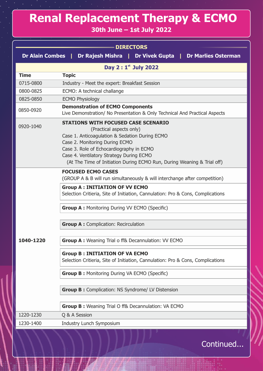### **Renal Replacement Therapy & ECMO**

#### **30th June – 1st July 2022**

| <b>DIRECTORS</b>       |                                                                                                                                                                                                                                                                                                                               |  |
|------------------------|-------------------------------------------------------------------------------------------------------------------------------------------------------------------------------------------------------------------------------------------------------------------------------------------------------------------------------|--|
| <b>Dr Alain Combes</b> | Dr Rajesh Mishra   Dr Vivek Gupta   Dr Marlies Osterman                                                                                                                                                                                                                                                                       |  |
| Day 2 : 1st July 2022  |                                                                                                                                                                                                                                                                                                                               |  |
| <b>Time</b>            | <b>Topic</b>                                                                                                                                                                                                                                                                                                                  |  |
| 0715-0800              | Industry - Meet the expert: Breakfast Session                                                                                                                                                                                                                                                                                 |  |
| 0800-0825              | ECMO: A technical challange                                                                                                                                                                                                                                                                                                   |  |
| 0825-0850              | <b>ECMO Physiology</b>                                                                                                                                                                                                                                                                                                        |  |
| 0850-0920              | <b>Demonstration of ECMO Components</b><br>Live Demonstration/ No Presentation & Only Technical And Practical Aspects                                                                                                                                                                                                         |  |
| 0920-1040              | <b>STATIONS WITH FOCUSED CASE SCENARIO</b><br>(Practical aspects only)<br>Case 1. Anticoagulation & Sedation During ECMO<br>Case 2. Monitoring During ECMO<br>Case 3. Role of Echocardiography in ECMO<br>Case 4. Ventilatory Strategy During ECMO<br>(At The Time of Initiation During ECMO Run, During Weaning & Trial off) |  |
| 1040-1220              | <b>FOCUSED ECMO CASES</b><br>(GROUP A & B will run simultaneously & will interchange after competition)<br><b>Group A: INITIATION OF VV ECMO</b><br>Selection Critieria, Site of Initiation, Cannulation: Pro & Cons, Complications                                                                                           |  |
|                        | <b>Group A: Monitoring During VV ECMO (Specific)</b>                                                                                                                                                                                                                                                                          |  |
|                        | <b>Group A: Complication: Recirculation</b>                                                                                                                                                                                                                                                                                   |  |
|                        | Group A: Weaning Trial o ff& Decannulation: VV ECMO                                                                                                                                                                                                                                                                           |  |
|                        | <b>Group B: INITIATION OF VA ECMO</b><br>Selection Critieria, Site of Initiation, Cannulation: Pro & Cons, Complications                                                                                                                                                                                                      |  |
|                        | <b>Group B: Monitoring During VA ECMO (Specific)</b>                                                                                                                                                                                                                                                                          |  |
|                        | <b>Group B: Complication: NS Syndrome/ LV Distension</b>                                                                                                                                                                                                                                                                      |  |
|                        | <b>Group B:</b> Weaning Trial O ff& Decannulation: VA ECMO                                                                                                                                                                                                                                                                    |  |
| 1220-1230              | Q & A Session                                                                                                                                                                                                                                                                                                                 |  |
| 1230-1400              | Industry Lunch Symposium                                                                                                                                                                                                                                                                                                      |  |

Continued...